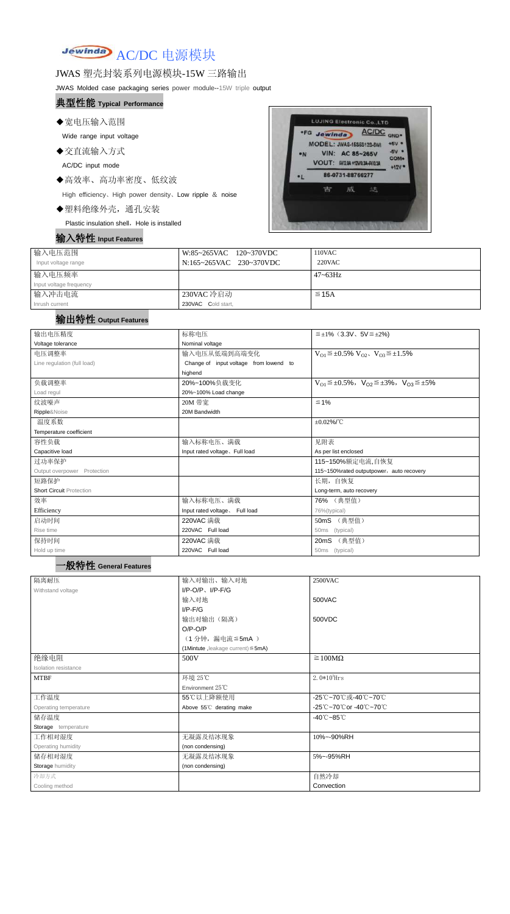

### JWAS 塑壳封装系列电源模块-15W 三路输出

JWAS Molded case packaging series power module--15W triple output

### 典型性能 **Typical Performance**

◆宽电压输入范围

Wide range input voltage

◆交直流输入方式

AC/DC input mode

◆高效率、高功率密度、低纹波

High efficiency、High power density、Low ripple & noise

◆塑料绝缘外壳,通孔安装

Plastic insulation shell, Hole is installed

# 输入特性 **Input Features**



| 输入电压范围<br>Input voltage range | W:85~265VAC 120~370VDC<br>N:165~265VAC 230~370VDC | 110VAC<br>220VAC |
|-------------------------------|---------------------------------------------------|------------------|
| 输入电压频率                        |                                                   | $47 \sim 63$ Hz  |
| Input voltage frequency       |                                                   |                  |
| 输入冲击电流                        | 230VAC 冷启动                                        | $\leq$ 15A       |
| Inrush current                | 230VAC Cold start,                                |                  |

## 输出特性 **Output Features**

| 输出电压精度                          | 标称电压                                   | $\leq \pm 1\%$ (3.3V, 5V $\leq \pm 2\%$ )                               |  |  |
|---------------------------------|----------------------------------------|-------------------------------------------------------------------------|--|--|
| Voltage tolerance               | Nominal voltage                        |                                                                         |  |  |
| 电压调整率                           | 输入电压从低端到高端变化                           | $V_{O1} \leq \pm 0.5\% \ V_{O2}$ , $V_{O3} \leq \pm 1.5\%$              |  |  |
| Line regulation (full load)     | Change of input voltage from lowend to |                                                                         |  |  |
|                                 | highend                                |                                                                         |  |  |
| 负载调整率                           | 20%~100%负载变化                           | $V_{O1} \leq \pm 0.5\%$ , $V_{O2} \leq \pm 3\%$ , $V_{O3} \leq \pm 5\%$ |  |  |
| Load regul                      | 20%~100% Load change                   |                                                                         |  |  |
| 纹波噪声                            | 20M 带宽                                 | $\leq 1\%$                                                              |  |  |
| Ripple&Noise                    | 20M Bandwidth                          |                                                                         |  |  |
| 温度系数                            |                                        | $\pm 0.02\%$ /°C                                                        |  |  |
| Temperature coefficient         |                                        |                                                                         |  |  |
| 容性负载                            | 输入标称电压、满载                              | 见附表                                                                     |  |  |
| Capacitive load                 | Input rated voltage, Full load         | As per list enclosed                                                    |  |  |
| 过功率保护                           |                                        | 115~150%额定电流,自恢复                                                        |  |  |
| Output overpower Protection     |                                        | 115~150%rated outputpower, auto recovery                                |  |  |
| 短路保护                            |                                        | 长期, 自恢复                                                                 |  |  |
| <b>Short Circuit Protection</b> |                                        | Long-term, auto recovery                                                |  |  |
| 效率                              | 输入标称电压、满载                              | 76% (典型值)                                                               |  |  |
| Efficiency                      | Input rated voltage, Full load         | 76%(typical)                                                            |  |  |
| 启动时间                            | 220VAC 满载                              | 50mS (典型值)                                                              |  |  |
| Rise time                       | 220VAC Full load                       | (typical)<br>50ms                                                       |  |  |
| 保持时间                            | 220VAC 满载                              | (典型值)<br>20mS                                                           |  |  |
| Hold up time                    | 220VAC Full load                       | 50ms (typical)                                                          |  |  |

| 隔离耐压                  | 输入对输出、输入对地                        | 2500VAC                         |  |
|-----------------------|-----------------------------------|---------------------------------|--|
| Withstand voltage     | $I/P-O/P$ , $I/P-F/G$             |                                 |  |
|                       | 输入对地                              | 500VAC                          |  |
|                       | $I/P-F/G$                         |                                 |  |
|                       | 输出对输出(隔离)                         | 500VDC                          |  |
|                       | $O/P-O/P$                         |                                 |  |
|                       | (1分钟,漏电流≦5mA)                     |                                 |  |
|                       | (1Mintute, leakage current) ≤5mA) |                                 |  |
| 绝缘电阻                  | 500V                              | $\geq 100M\Omega$               |  |
| Isolation resistance  |                                   |                                 |  |
| <b>MTBF</b>           | 环境 25℃                            | $2.0*105$ Hrs                   |  |
|                       | Environment 25°C                  |                                 |  |
| 工作温度                  | 55℃以上降额使用                         | -25℃~70℃或-40℃~70℃               |  |
| Operating temperature | Above 55°C derating make          | -25℃~70℃or -40℃~70℃             |  |
| 储存温度                  |                                   | $-40^{\circ}$ C $-85^{\circ}$ C |  |
| Storage temperature   |                                   |                                 |  |
| 工作相对湿度                | 无凝露及结冰现象                          | 10%~-90%RH                      |  |
| Operating humidity    | (non condensing)                  |                                 |  |
| 储存相对湿度                | 无凝露及结冰现象                          | 5%~-95%RH                       |  |
| Storage humidity      | (non condensing)                  |                                 |  |
| 冷却方式                  |                                   | 自然冷却                            |  |
| Cooling method        |                                   | Convection                      |  |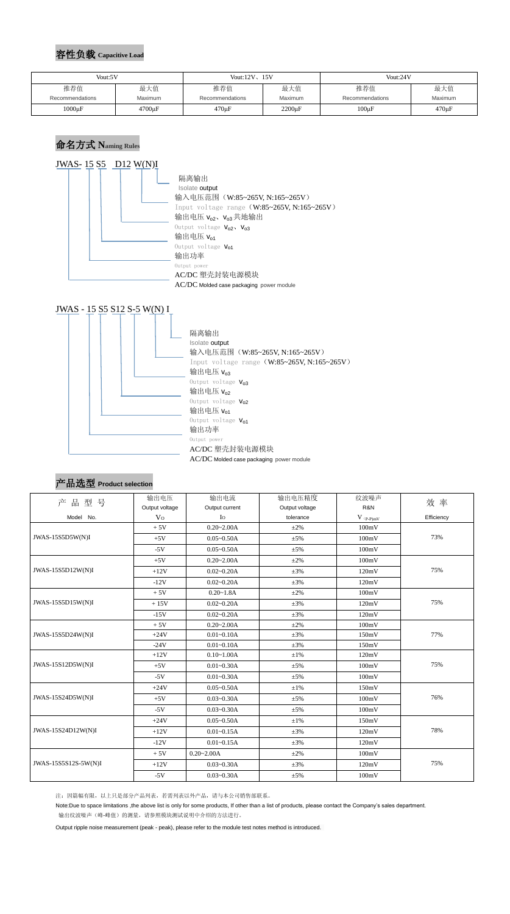### 容性负载 **Capacitive Load**

## 命名方式 **Naming Rules**





#### 产品选型 **Product selection**

| 产<br>品型号             | 输出电压           | 输出电流                             | 输出电压精度    | 纹波噪声        | 效率         |  |
|----------------------|----------------|----------------------------------|-----------|-------------|------------|--|
|                      | Output voltage | Output current<br>Output voltage |           | R&N         |            |  |
| Model No.            | V <sub>0</sub> | $I_{\rm O}$                      | tolerance | $V$ (p-p)mV | Efficiency |  |
|                      | $+5V$          | $0.20 - 2.00A$                   | $\pm 2\%$ | 100mV       |            |  |
| JWAS-15S5D5W(N)I     | $+5V$          | $0.05 - 0.50A$                   | $\pm 5\%$ | 100mV       | 73%        |  |
|                      | $-5V$          | $0.05 - 0.50A$                   | $\pm 5\%$ | 100mV       |            |  |
|                      | $+5V$          | $0.20 - 2.00A$                   | $\pm 2\%$ | 100mV       |            |  |
| JWAS-15S5D12W(N)I    | $+12V$         | $0.02 - 0.20A$                   | $\pm 3\%$ | 120mV       | 75%        |  |
|                      | $-12V$         | $0.02 - 0.20A$                   | $\pm 3\%$ | 120mV       |            |  |
|                      | $+5V$          | $0.20 - 1.8A$                    | $\pm 2\%$ | 100mV       |            |  |
| JWAS-15S5D15W(N)I    | $+15V$         | $0.02 - 0.20A$                   | $\pm 3\%$ | 120mV       | 75%        |  |
|                      | $-15V$         | $0.02 - 0.20A$                   | $\pm 3\%$ | 120mV       |            |  |
| JWAS-15S5D24W(N)I    | $+5V$          | $0.20 - 2.00A$                   | $\pm 2\%$ | 100mV       |            |  |
|                      | $+24V$         | $0.01 - 0.10A$                   | $\pm 3\%$ | 150mV       | 77%        |  |
|                      | $-24V$         | $0.01 - 0.10A$                   | $\pm 3\%$ | 150mV       |            |  |
| JWAS-15S12D5W(N)I    | $+12V$         | $0.10 - 1.00A$                   | $\pm1\%$  | 120mV       |            |  |
|                      | $+5V$          | $0.01 - 0.30A$                   | $\pm 5\%$ | 100mV       | 75%        |  |
|                      | $-5V$          | $0.01 - 0.30A$                   | $\pm 5\%$ | 100mV       |            |  |
| JWAS-15S24D5W(N)I    | $+24V$         | $0.05 - 0.50A$                   | $\pm 1\%$ | 150mV       |            |  |
|                      | $+5V$          | $0.03 - 0.30A$                   | $\pm 5\%$ | 100mV       | 76%        |  |
|                      | $-5V$          | $0.03 - 0.30A$                   | $\pm 5\%$ | 100mV       |            |  |
| JWAS-15S24D12W(N)I   | $+24V$         | $0.05 - 0.50A$                   | $\pm1\%$  | 150mV       |            |  |
|                      | $+12V$         | $0.01 - 0.15A$                   | $\pm 3\%$ | 120mV       | 78%        |  |
|                      | $-12V$         | $0.01 - 0.15A$                   | $\pm 3\%$ | 120mV       |            |  |
|                      | $+5V$          | $0.20 - 2.00A$                   | $\pm 2\%$ | 100mV       |            |  |
| JWAS-15S5S12S-5W(N)I | $+12V$         | $0.03 - 0.30A$                   | $\pm 3\%$ | 120mV       | 75%        |  |
|                      | $-5V$          | $0.03 - 0.30A$                   | $\pm 5\%$ | 100mV       |            |  |

注:因篇幅有限,以上只是部分产品列表,若需列表以外产品,请与本公司销售部联系。

Note:Due to space limitations ,the above list is only for some products, If other than a list of products, please contact the Company's sales department. 输出纹波噪声(峰-峰值)的测量,请参照模块测试说明中介绍的方法进行。

Output ripple noise measurement (peak - peak), please refer to the module test notes method is introduced.

| Vout:5V         |             | Vout: $12V_{\gamma}$ 15V |              | Vout:24V        |             |
|-----------------|-------------|--------------------------|--------------|-----------------|-------------|
| 推荐值             | 最大值         | 推荐值                      | 最大值          | 推荐值             | 最大值         |
| Recommendations | Maximum     | Recommendations          | Maximum      | Recommendations | Maximum     |
| $1000\mu F$     | $4700\mu F$ | $470 \mu F$              | $2200 \mu F$ | $100\mu F$      | $470 \mu F$ |